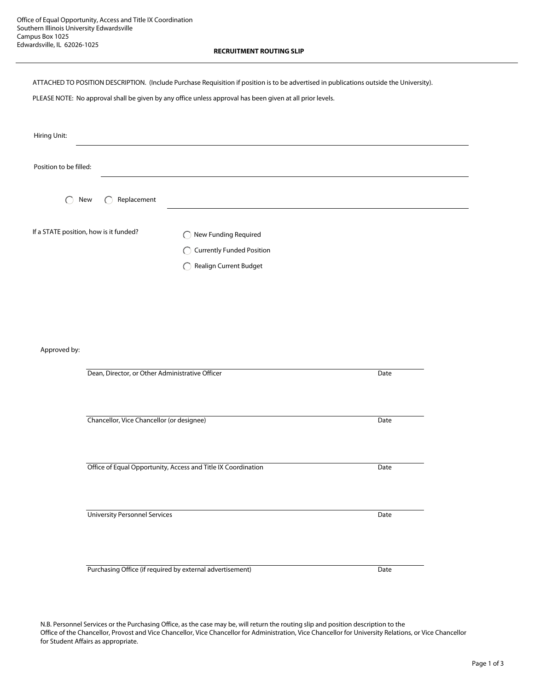ATTACHED TO POSITION DESCRIPTION. (Include Purchase Requisition if position is to be advertised in publications outside the University).

PLEASE NOTE: No approval shall be given by any office unless approval has been given at all prior levels.

| Hiring Unit:                           |                               |  |
|----------------------------------------|-------------------------------|--|
| Position to be filled:                 |                               |  |
| Replacement<br>◯<br>New                |                               |  |
| If a STATE position, how is it funded? | ◯ New Funding Required        |  |
|                                        | ◯ Currently Funded Position   |  |
|                                        | <b>Realign Current Budget</b> |  |

Approved by:

| Dean, Director, or Other Administrative Officer               | Date |  |
|---------------------------------------------------------------|------|--|
|                                                               |      |  |
|                                                               |      |  |
| Chancellor, Vice Chancellor (or designee)                     | Date |  |
|                                                               |      |  |
| Office of Equal Opportunity, Access and Title IX Coordination | Date |  |
| <b>University Personnel Services</b>                          | Date |  |
|                                                               |      |  |
|                                                               |      |  |
| Purchasing Office (if required by external advertisement)     | Date |  |

N.B. Personnel Services or the Purchasing Office, as the case may be, will return the routing slip and position description to the Office of the Chancellor, Provost and Vice Chancellor, Vice Chancellor for Administration, Vice Chancellor for University Relations, or Vice Chancellor for Student Affairs as appropriate.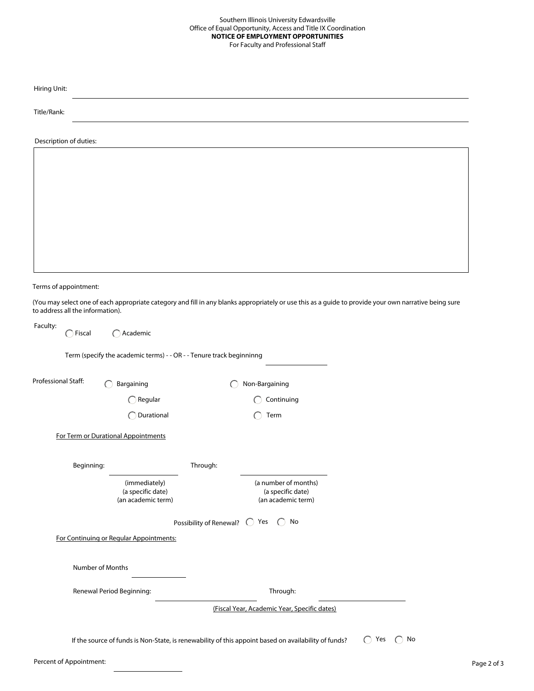| Hiring Unit:                     |                                                                                                      |                                    |                                                                 |                                                                                                                                                       |
|----------------------------------|------------------------------------------------------------------------------------------------------|------------------------------------|-----------------------------------------------------------------|-------------------------------------------------------------------------------------------------------------------------------------------------------|
| Title/Rank:                      |                                                                                                      |                                    |                                                                 |                                                                                                                                                       |
| Description of duties:           |                                                                                                      |                                    |                                                                 |                                                                                                                                                       |
|                                  |                                                                                                      |                                    |                                                                 |                                                                                                                                                       |
|                                  |                                                                                                      |                                    |                                                                 |                                                                                                                                                       |
|                                  |                                                                                                      |                                    |                                                                 |                                                                                                                                                       |
|                                  |                                                                                                      |                                    |                                                                 |                                                                                                                                                       |
|                                  |                                                                                                      |                                    |                                                                 |                                                                                                                                                       |
|                                  |                                                                                                      |                                    |                                                                 |                                                                                                                                                       |
| Terms of appointment:            |                                                                                                      |                                    |                                                                 |                                                                                                                                                       |
| to address all the information). |                                                                                                      |                                    |                                                                 | (You may select one of each appropriate category and fill in any blanks appropriately or use this as a guide to provide your own narrative being sure |
| Faculty:<br>$\bigcap$ Fiscal     | $\bigcap$ Academic                                                                                   |                                    |                                                                 |                                                                                                                                                       |
|                                  | Term (specify the academic terms) - - OR - - Tenure track beginninng                                 |                                    |                                                                 |                                                                                                                                                       |
| Professional Staff:              | Bargaining                                                                                           |                                    | Non-Bargaining                                                  |                                                                                                                                                       |
|                                  | $\bigcap$ Regular                                                                                    |                                    | Continuing                                                      |                                                                                                                                                       |
|                                  | ◯ Durational                                                                                         |                                    | Term                                                            |                                                                                                                                                       |
|                                  | For Term or Durational Appointments                                                                  |                                    |                                                                 |                                                                                                                                                       |
| Beginning:                       |                                                                                                      | Through:                           |                                                                 |                                                                                                                                                       |
|                                  | (immediately)<br>(a specific date)<br>(an academic term)                                             |                                    | (a number of months)<br>(a specific date)<br>(an academic term) |                                                                                                                                                       |
|                                  |                                                                                                      | Possibility of Renewal? ○ Yes ○ No |                                                                 |                                                                                                                                                       |
|                                  | For Continuing or Regular Appointments:                                                              |                                    |                                                                 |                                                                                                                                                       |
|                                  | Number of Months                                                                                     |                                    |                                                                 |                                                                                                                                                       |
|                                  | Renewal Period Beginning:                                                                            |                                    | Through:                                                        |                                                                                                                                                       |
|                                  |                                                                                                      |                                    | (Fiscal Year, Academic Year, Specific dates)                    |                                                                                                                                                       |
|                                  |                                                                                                      |                                    |                                                                 |                                                                                                                                                       |
|                                  | If the source of funds is Non-State, is renewability of this appoint based on availability of funds? |                                    |                                                                 | $\bigcap$ Yes $\bigcap$ No                                                                                                                            |